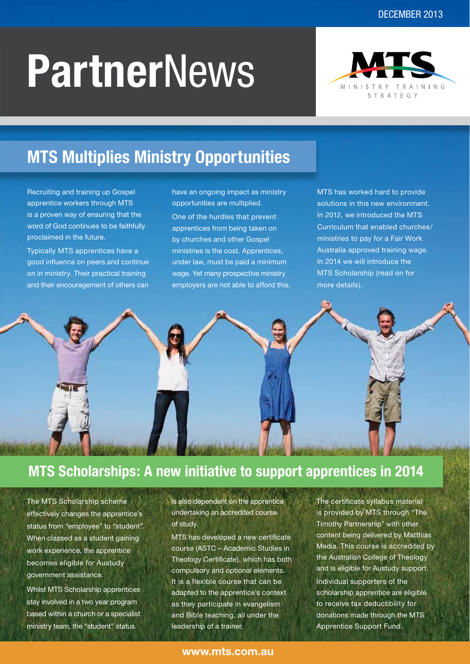# **Partner**News



# **MTS Multiplies Ministry Opportunities**

Recruiting and training up Gospel apprentice workers through MTS is a proven way of ensuring that the word of God continues to be faithfully proclaimed in the future.

Typically MTS apprentices have a good influence on peers and continue on in ministry. Their practical training and their encouragement of others can

have an ongoing impact as ministry opportunities are multiplied.

One of the hurdles that prevent apprentices from being taken on by churches and other Gospel ministries is the cost. Apprentices, under law, must be paid a minimum wage. Yet many prospective ministry employers are not able to afford this. MTS has worked hard to provide solutions in this new environment. In 2012, we introduced the MTS Curriculum that enabled churches/ ministries to pay for a Fair Work Australia approved training wage. In 2014 we will introduce the MTS Scholarship (read on for more details).



### **MTS Scholarships: A new initiative to support apprentices in 2014**

The MTS Scholarship scheme effectively changes the apprentice's status from "employee" to "student". When classed as a student gaining work experience, the apprentice becomes eligible for Austudy government assistance.

Whilst MTS Scholarship apprentices stay involved in a two year program based within a church or a specialist ministry team, the "student" status

is also dependent on the apprentice undertaking an accredited course of study.

MTS has developed a new certificate course (ASTC – Academic Studies in Theology Certificate), which has both compulsory and optional elements. It is a flexible course that can be adapted to the apprentice's context as they participate in evangelism and Bible teaching, all under the leadership of a trainer.

The certificate syllabus material is provided by MTS through "The Timothy Partnership" with other content being delivered by Matthias Media. This course is accredited by the Australian College of Theology and is eligible for Austudy support. Individual supporters of the scholarship apprentice are eligible to receive tax deductibility for donations made through the MTS Apprentice Support Fund.

#### **www.mts.com.au**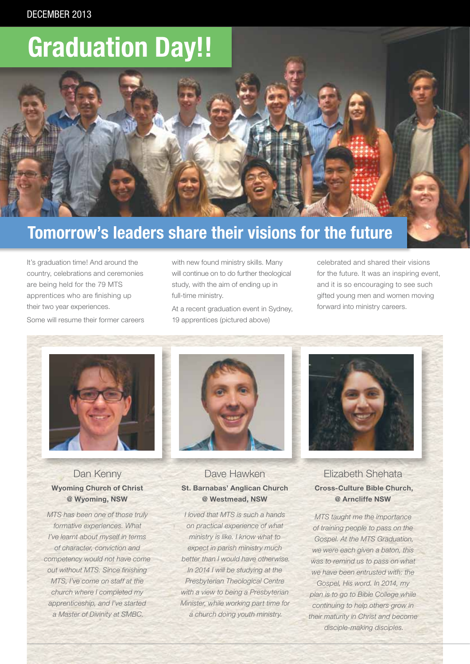# **Graduation Day!!**

# **Tomorrow's leaders share their visions for the future**

It's graduation time! And around the country, celebrations and ceremonies are being held for the 79 MTS apprentices who are finishing up their two year experiences. Some will resume their former careers with new found ministry skills. Many will continue on to do further theological study, with the aim of ending up in full-time ministry.

At a recent graduation event in Sydney, 19 apprentices (pictured above)

celebrated and shared their visions for the future. It was an inspiring event, and it is so encouraging to see such gifted young men and women moving forward into ministry careers.



#### Dan Kenny **Wyoming Church of Christ @ Wyoming, NSW**

*MTS has been one of those truly formative experiences. What I've learnt about myself in terms of character, conviction and competency would not have come out without MTS. Since finishing MTS, I've come on staff at the church where I completed my apprenticeship, and I've started a Master of Divinity at SMBC.*



#### Dave Hawken **St. Barnabas' Anglican Church @ Westmead, NSW**

*I loved that MTS is such a hands on practical experience of what ministry is like. I know what to expect in parish ministry much better than I would have otherwise. In 2014 I will be studying at the Presbyterian Theological Centre with a view to being a Presbyterian Minister, while working part time for a church doing youth ministry.* 



Elizabeth Shehata **Cross-Culture Bible Church, @ Arncliffe NSW**

*MTS taught me the importance of training people to pass on the Gospel. At the MTS Graduation, we were each given a baton, this was to remind us to pass on what we have been entrusted with: the Gospel, His word. In 2014, my plan is to go to Bible College while continuing to help others grow in their maturity in Christ and become disciple-making disciples.*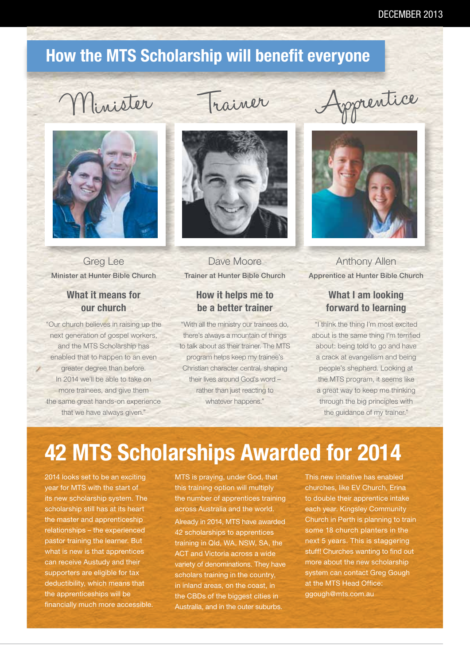## **How the MTS Scholarship will benefit everyone**



Greg Lee Minister at Hunter Bible Church

#### **What it means for our church**

"Our church believes in raising up the next generation of gospel workers, and the MTS Scholarship has enabled that to happen to an even greater degree than before. In 2014 we'll be able to take on more trainees, and give them the same great hands-on experience that we have always given."



Dave Moore Trainer at Hunter Bible Church

#### **How it helps me to be a better trainer**

"With all the ministry our trainees do, there's always a mountain of things to talk about as their trainer. The MTS program helps keep my trainee's Christian character central, shaping their lives around God's word – rather than just reacting to whatever happens."





Anthony Allen Apprentice at Hunter Bible Church

#### **What I am looking forward to learning**

"I think the thing I'm most excited about is the same thing I'm terrified about: being told to go and have a crack at evangelism and being people's shepherd. Looking at the MTS program, it seems like a great way to keep me thinking through the big principles with the guidance of my trainer."

# **42 MTS Scholarships Awarded for 2014**

2014 looks set to be an exciting year for MTS with the start of its new scholarship system. The scholarship still has at its heart the master and apprenticeship relationships – the experienced pastor training the learner. But what is new is that apprentices can receive Austudy and their supporters are eligible for tax deductibility, which means that the apprenticeships will be financially much more accessible. MTS is praying, under God, that this training option will multiply the number of apprentices training across Australia and the world.

Already in 2014, MTS have awarded 42 scholarships to apprentices training in Qld, WA, NSW, SA, the ACT and Victoria across a wide variety of denominations. They have scholars training in the country, in inland areas, on the coast, in the CBDs of the biggest cities in Australia, and in the outer suburbs.

This new initiative has enabled churches, like EV Church, Erina to double their apprentice intake each year. Kingsley Community Church in Perth is planning to train some 18 church planters in the next 5 years. This is staggering stuff! Churches wanting to find out more about the new scholarship system can contact Greg Gough at the MTS Head Office: ggough@mts.com.au